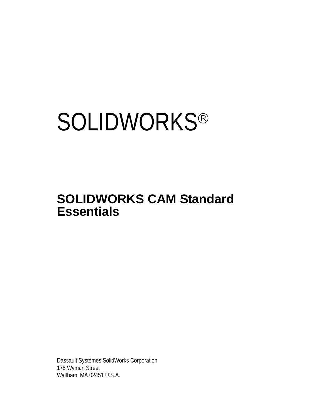# **SOLIDWORKS®**

# **SOLIDWORKS CAM Standard Essentials**

Dassault Systèmes SolidWorks Corporation 175 Wyman Street Waltham, MA 02451 U.S.A.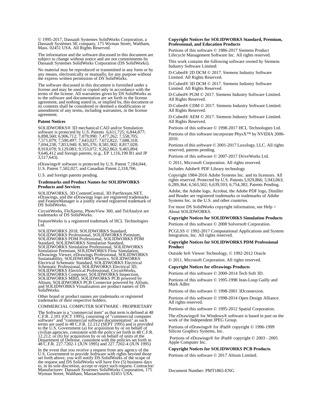© 1995-2017, Dassault Systemes SolidWorks Corporation, a Dassault Systèmes SE company, 175 Wyman Street, Waltham, Mass. 02451 USA. All Rights Reserved.

The information and the software discussed in this document are subject to change without notice and are not commitments by Dassault Systemes SolidWorks Corporation (DS SolidWorks).

No material may be reproduced or transmitted in any form or by any means, electronically or manually, for any purpose without the express written permission of DS SolidWorks.

The software discussed in this document is furnished under a license and may be used or copied only in accordance with the terms of the license. All warranties given by DS SolidWorks as to the software and documentation are set forth in the license agreement, and nothing stated in, or implied by, this document or its contents shall be considered or deemed a modification or amendment of any terms, including warranties, in the license agreement.

#### **Patent Notices**

SOLIDWORKS® 3D mechanical CAD and/or Simulation software is protected by U.S. Patents 6,611,725; 6,844,877; 6,898,560; 6,906,712; 7,079,990; 7,477,262; 7,558,705; 7,571,079; 7,590,497; 7,643,027; 7,672,822; 7,688,318; 7,694,238; 7,853,940; 8,305,376; 8,581,902; 8,817,028; 8,910,078; 9,129,083; 9,153,072; 9,262,863; 9,465,894; 9,646,412 and foreign patents, (e.g., EP 1,116,190 B1 and JP  $3,517,643$ .

eDrawings® software is protected by U.S. Patent 7,184,044; U.S. Patent 7,502,027; and Canadian Patent 2,318,706.

U.S. and foreign patents pending.

#### **Trademarks and Product Names for SOLIDWORKS Products and Services**

SOLIDWORKS, 3D ContentCentral, 3D PartStream.NET, eDrawings, and the eDrawings logo are registered trademarks and FeatureManager is a jointly owned registered trademark of DS SolidWorks.

CircuitWorks, FloXpress, PhotoView 360, and TolAnalyst are trademarks of DS SolidWorks.

FeatureWorks is a registered trademark of HCL Technologies Ltd.

SOLIDWORKS 2018, SOLIDWORKS Standard, SOLIDWORKS Professional, SOLIDWORKS Premium, SOLIDWORKS PDM Professional, SOLIDWORKS PDM Standard, SOLIDWORKS Simulation Standard, SOLIDWORKS Simulation Professional, SOLIDWORKS<br>Simulation Premium, SOLIDWORKS Flow Simulation,<br>eDrawings Viewer, eDrawings Professional, SOLIDWORKS<br>Sustainability, SOLIDWORKS Plastics, SOLIDWORKS<br>Electrical Schematic Stand SOLIDWORKS Electrical Professional, CircuitWorks,<br>SOLIDWORKS Composer, SOLIDWORKS Inspection,<br>SOLIDWORKS MBD, SOLIDWORKS PCB powered by<br>Altium, SOLIDWORKS PCB Connector powered by Altium,<br>and SOLIDWORKS Visualization are p SolidWorks.

Other brand or product names are trademarks or registered trademarks of their respective holders.

COMMERCIAL COMPUTER SOFTWARE - PROPRIETARY

The Software is a "commercial item" as that term is defined at 48 C.F.R. 2.101 (OCT 1995), consisting of "commercial computer software" and "commercial software documentation" as such<br>terms are used in 48 C.F.R. 12.212 (SEPT 1995) and is provided<br>to the U.S. Government (a) for acquisition by or on behalf of<br>civilian agencies, consistent with the Department of Defense, consistent with the policies set forth in 48 C.F.R. 227.7202-1 (JUN 1995) and 227.7202-4 (JUN 1995)

In the event that you receive a request from any agency of the If the countries you could be a set for the set of the set for the set forth above, you will notify DS SolidWorks of the scope of the request and DS SolidWorks will have five (5) business days to, in its sole discretion, a Wyman Street, Waltham, Massachusetts 02451 USA.

#### **Copyright Notices for SOLIDWORKS Standard, Premium, Professional, and Education Products**

Portions of this software © 1986-2017 Siemens Product Lifecycle Management Software Inc. All rights reserved.

This work contains the following software owned by Siemens Industry Software Limited:

D-Cubed® 2D DCM © 2017. Siemens Industry Software Limited. All Rights Reserved.

D-Cubed® 3D DCM © 2017. Siemens Industry Software Limited. All Rights Reserved.

D-Cubed® PGM © 2017. Siemens Industry Software Limited. All Rights Reserved.

D-Cubed® CDM © 2017. Siemens Industry Software Limited. All Rights Reserved.

D-Cubed® AEM © 2017. Siemens Industry Software Limited. All Rights Reserved.

Portions of this software © 1998-2017 HCL Technologies Ltd. Portions of this software incorporate PhysX™ by NVIDIA 2006- 2010.

Portions of this software © 2001-2017 Luxology, LLC. All rights reserved, patents pending.

Portions of this software © 2007-2017 DriveWorks Ltd.

© 2011, Microsoft Corporation. All rights reserved.

Includes Adobe® PDF Library technology

Copyright 1984-2016 Adobe Systems Inc. and its licensors. All rights reserved. Protected by U.S. Patents.5,929,866; 5,943,063; 6,289,364; 6,563,502; 6,639,593; 6,754,382; Patents Pending.

Adobe, the Adobe logo, Acrobat, the Adobe PDF logo, Distiller and Reader are registered trademarks or trademarks of Adobe Systems Inc. in the U.S. and other countries.

For more DS SolidWorks copyright information, see Help > About SOLIDWORKS.

#### **Copyright Notices for SOLIDWORKS Simulation Products**

Portions of this software © 2008 Solversoft Corporation.

PCGLSS © 1992-2017 Computational Applications and System Integration, Inc. All rights reserved.

#### **Copyright Notices for SOLIDWORKS PDM Professional Product**

Outside In® Viewer Technology, © 1992-2012 Oracle © 2011, Microsoft Corporation. All rights reserved.

### **Copyright Notices for eDrawings Products**

Portions of this software © 2000-2014 Tech Soft 3D.

Portions of this software © 1995-1998 Jean-Loup Gailly and Mark Adler.

Portions of this software © 1998-2001 3Dconnexion.

Portions of this software © 1998-2014 Open Design Alliance. All rights reserved.

Portions of this software © 1995-2012 Spatial Corporation.

The eDrawings® for Windows® software is based in part on the work of the Independent JPEG Group.

Portions of eDrawings® for iPad® copyright © 1996-1999 Silicon Graphics Systems, Inc.

 Portions of eDrawings® for iPad® copyright © 2003 - 2005 Apple Computer Inc.

#### **Copyright Notices for SOLIDWORKS PCB Products**

Portions of this software © 2017 Altium Limited.

Document Number: PMT1865-ENG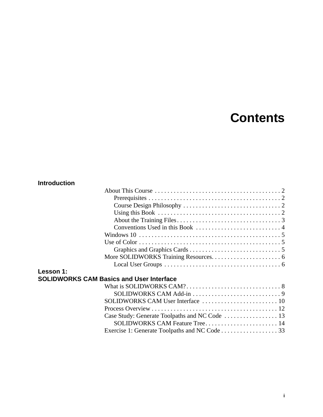# **Contents**

## **Introduction**

| Lesson 1:                                       |  |
|-------------------------------------------------|--|
| <b>SOLIDWORKS CAM Basics and User Interface</b> |  |
|                                                 |  |
|                                                 |  |
|                                                 |  |

| $SOLIDWORKS$ CAM User Interface $\ldots \ldots \ldots \ldots \ldots \ldots \ldots \ldots 10$ |  |
|----------------------------------------------------------------------------------------------|--|
|                                                                                              |  |
|                                                                                              |  |
|                                                                                              |  |
|                                                                                              |  |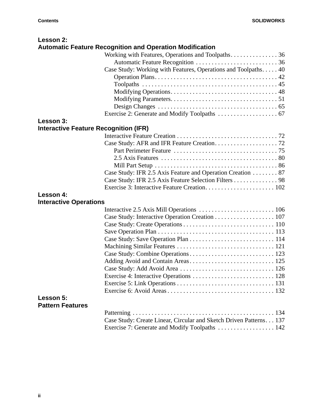| Lesson 2:                                    |                                                                     |  |
|----------------------------------------------|---------------------------------------------------------------------|--|
|                                              | <b>Automatic Feature Recognition and Operation Modification</b>     |  |
|                                              | Working with Features, Operations and Toolpaths. 36                 |  |
|                                              |                                                                     |  |
|                                              | Case Study: Working with Features, Operations and Toolpaths. 40     |  |
|                                              |                                                                     |  |
|                                              |                                                                     |  |
|                                              |                                                                     |  |
|                                              |                                                                     |  |
|                                              |                                                                     |  |
|                                              |                                                                     |  |
| Lesson 3:                                    |                                                                     |  |
| <b>Interactive Feature Recognition (IFR)</b> |                                                                     |  |
|                                              |                                                                     |  |
|                                              |                                                                     |  |
|                                              |                                                                     |  |
|                                              |                                                                     |  |
|                                              |                                                                     |  |
|                                              | Case Study: IFR 2.5 Axis Feature and Operation Creation 87          |  |
|                                              | Case Study: IFR 2.5 Axis Feature Selection Filters 98               |  |
|                                              |                                                                     |  |
| Lesson 4:                                    |                                                                     |  |
| <b>Interactive Operations</b>                |                                                                     |  |
|                                              |                                                                     |  |
|                                              | Case Study: Interactive Operation Creation 107                      |  |
|                                              |                                                                     |  |
|                                              |                                                                     |  |
|                                              |                                                                     |  |
|                                              |                                                                     |  |
|                                              |                                                                     |  |
|                                              |                                                                     |  |
|                                              |                                                                     |  |
|                                              |                                                                     |  |
|                                              |                                                                     |  |
|                                              |                                                                     |  |
| Lesson 5:                                    |                                                                     |  |
| <b>Pattern Features</b>                      |                                                                     |  |
|                                              |                                                                     |  |
|                                              | Case Study: Create Linear, Circular and Sketch Driven Patterns. 137 |  |
|                                              | Exercise 7: Generate and Modify Toolpaths  142                      |  |